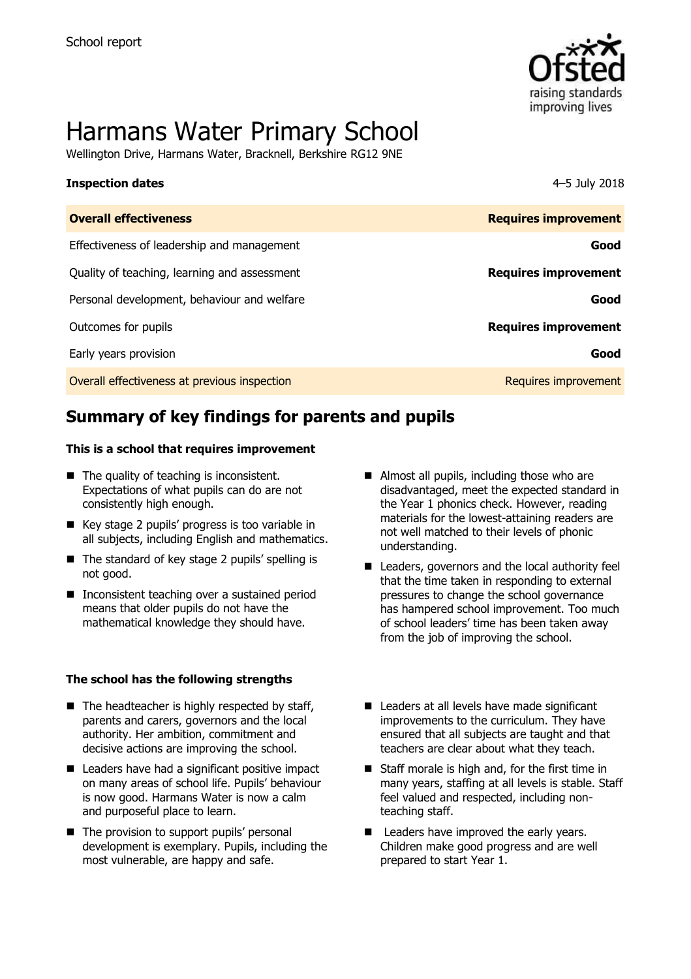

# Harmans Water Primary School

Wellington Drive, Harmans Water, Bracknell, Berkshire RG12 9NE

#### **Inspection dates** 4–5 July 2018

| <b>Overall effectiveness</b>                 | <b>Requires improvement</b> |
|----------------------------------------------|-----------------------------|
| Effectiveness of leadership and management   | Good                        |
| Quality of teaching, learning and assessment | <b>Requires improvement</b> |
| Personal development, behaviour and welfare  | Good                        |
| Outcomes for pupils                          | <b>Requires improvement</b> |
| Early years provision                        | Good                        |
| Overall effectiveness at previous inspection | Requires improvement        |

# **Summary of key findings for parents and pupils**

#### **This is a school that requires improvement**

- $\blacksquare$  The quality of teaching is inconsistent. Expectations of what pupils can do are not consistently high enough.
- Key stage 2 pupils' progress is too variable in all subjects, including English and mathematics.
- The standard of key stage 2 pupils' spelling is not good.
- Inconsistent teaching over a sustained period means that older pupils do not have the mathematical knowledge they should have.

#### **The school has the following strengths**

- $\blacksquare$  The headteacher is highly respected by staff, parents and carers, governors and the local authority. Her ambition, commitment and decisive actions are improving the school.
- Leaders have had a significant positive impact on many areas of school life. Pupils' behaviour is now good. Harmans Water is now a calm and purposeful place to learn.
- The provision to support pupils' personal development is exemplary. Pupils, including the most vulnerable, are happy and safe.
- Almost all pupils, including those who are disadvantaged, meet the expected standard in the Year 1 phonics check. However, reading materials for the lowest-attaining readers are not well matched to their levels of phonic understanding.
- Leaders, governors and the local authority feel that the time taken in responding to external pressures to change the school governance has hampered school improvement. Too much of school leaders' time has been taken away from the job of improving the school.
- Leaders at all levels have made significant improvements to the curriculum. They have ensured that all subjects are taught and that teachers are clear about what they teach.
- Staff morale is high and, for the first time in many years, staffing at all levels is stable. Staff feel valued and respected, including nonteaching staff.
- Leaders have improved the early years. Children make good progress and are well prepared to start Year 1.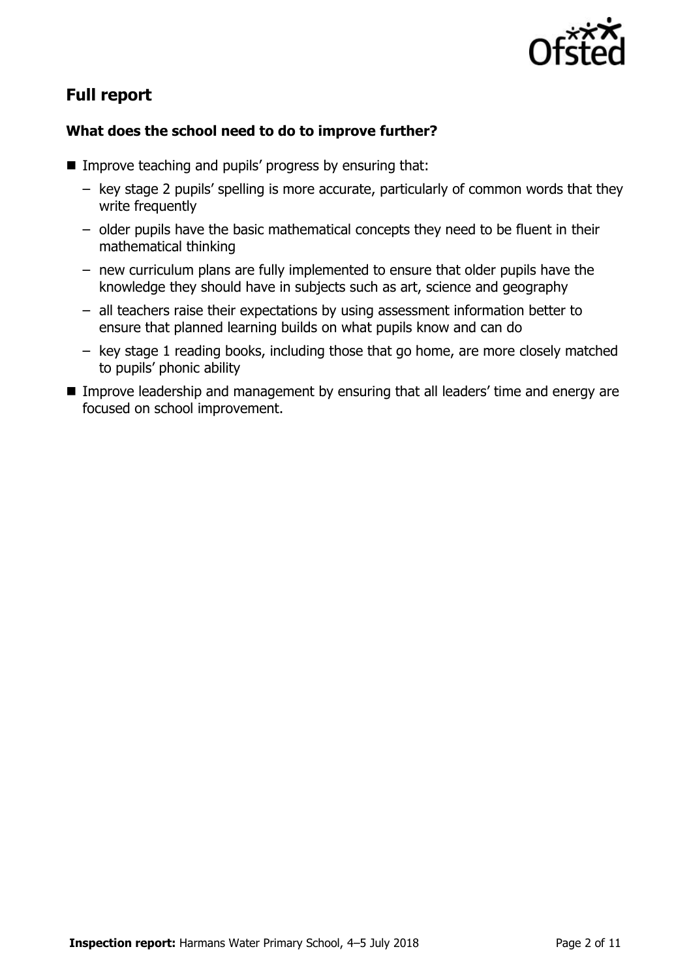

# **Full report**

### **What does the school need to do to improve further?**

- Improve teaching and pupils' progress by ensuring that:
	- key stage 2 pupils' spelling is more accurate, particularly of common words that they write frequently
	- older pupils have the basic mathematical concepts they need to be fluent in their mathematical thinking
	- new curriculum plans are fully implemented to ensure that older pupils have the knowledge they should have in subjects such as art, science and geography
	- all teachers raise their expectations by using assessment information better to ensure that planned learning builds on what pupils know and can do
	- key stage 1 reading books, including those that go home, are more closely matched to pupils' phonic ability
- **IMPROVE LEADERSHIP and management by ensuring that all leaders' time and energy are** focused on school improvement.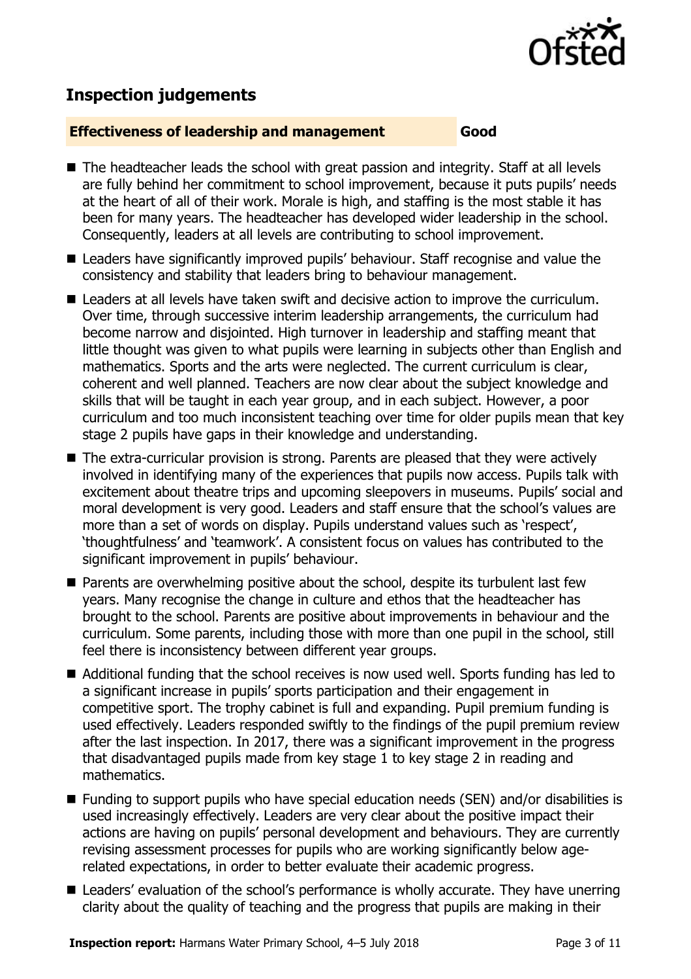

# **Inspection judgements**

#### **Effectiveness of leadership and management Good**

- The headteacher leads the school with great passion and integrity. Staff at all levels are fully behind her commitment to school improvement, because it puts pupils' needs at the heart of all of their work. Morale is high, and staffing is the most stable it has been for many years. The headteacher has developed wider leadership in the school. Consequently, leaders at all levels are contributing to school improvement.
- Leaders have significantly improved pupils' behaviour. Staff recognise and value the consistency and stability that leaders bring to behaviour management.
- Leaders at all levels have taken swift and decisive action to improve the curriculum. Over time, through successive interim leadership arrangements, the curriculum had become narrow and disjointed. High turnover in leadership and staffing meant that little thought was given to what pupils were learning in subjects other than English and mathematics. Sports and the arts were neglected. The current curriculum is clear, coherent and well planned. Teachers are now clear about the subject knowledge and skills that will be taught in each year group, and in each subject. However, a poor curriculum and too much inconsistent teaching over time for older pupils mean that key stage 2 pupils have gaps in their knowledge and understanding.
- The extra-curricular provision is strong. Parents are pleased that they were actively involved in identifying many of the experiences that pupils now access. Pupils talk with excitement about theatre trips and upcoming sleepovers in museums. Pupils' social and moral development is very good. Leaders and staff ensure that the school's values are more than a set of words on display. Pupils understand values such as 'respect', 'thoughtfulness' and 'teamwork'. A consistent focus on values has contributed to the significant improvement in pupils' behaviour.
- Parents are overwhelming positive about the school, despite its turbulent last few years. Many recognise the change in culture and ethos that the headteacher has brought to the school. Parents are positive about improvements in behaviour and the curriculum. Some parents, including those with more than one pupil in the school, still feel there is inconsistency between different year groups.
- Additional funding that the school receives is now used well. Sports funding has led to a significant increase in pupils' sports participation and their engagement in competitive sport. The trophy cabinet is full and expanding. Pupil premium funding is used effectively. Leaders responded swiftly to the findings of the pupil premium review after the last inspection. In 2017, there was a significant improvement in the progress that disadvantaged pupils made from key stage 1 to key stage 2 in reading and mathematics.
- Funding to support pupils who have special education needs (SEN) and/or disabilities is used increasingly effectively. Leaders are very clear about the positive impact their actions are having on pupils' personal development and behaviours. They are currently revising assessment processes for pupils who are working significantly below agerelated expectations, in order to better evaluate their academic progress.
- Leaders' evaluation of the school's performance is wholly accurate. They have unerring clarity about the quality of teaching and the progress that pupils are making in their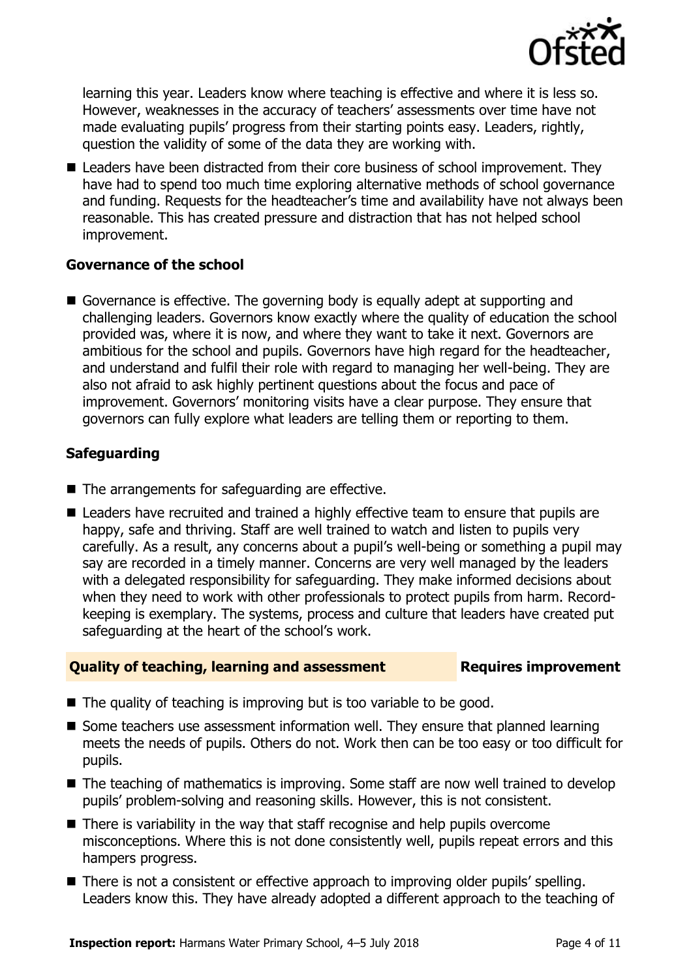

learning this year. Leaders know where teaching is effective and where it is less so. However, weaknesses in the accuracy of teachers' assessments over time have not made evaluating pupils' progress from their starting points easy. Leaders, rightly, question the validity of some of the data they are working with.

■ Leaders have been distracted from their core business of school improvement. They have had to spend too much time exploring alternative methods of school governance and funding. Requests for the headteacher's time and availability have not always been reasonable. This has created pressure and distraction that has not helped school improvement.

#### **Governance of the school**

Governance is effective. The governing body is equally adept at supporting and challenging leaders. Governors know exactly where the quality of education the school provided was, where it is now, and where they want to take it next. Governors are ambitious for the school and pupils. Governors have high regard for the headteacher, and understand and fulfil their role with regard to managing her well-being. They are also not afraid to ask highly pertinent questions about the focus and pace of improvement. Governors' monitoring visits have a clear purpose. They ensure that governors can fully explore what leaders are telling them or reporting to them.

### **Safeguarding**

- The arrangements for safeguarding are effective.
- Leaders have recruited and trained a highly effective team to ensure that pupils are happy, safe and thriving. Staff are well trained to watch and listen to pupils very carefully. As a result, any concerns about a pupil's well-being or something a pupil may say are recorded in a timely manner. Concerns are very well managed by the leaders with a delegated responsibility for safeguarding. They make informed decisions about when they need to work with other professionals to protect pupils from harm. Recordkeeping is exemplary. The systems, process and culture that leaders have created put safeguarding at the heart of the school's work.

#### **Quality of teaching, learning and assessment Fig. 2.1 Requires improvement**

- $\blacksquare$  The quality of teaching is improving but is too variable to be good.
- Some teachers use assessment information well. They ensure that planned learning meets the needs of pupils. Others do not. Work then can be too easy or too difficult for pupils.
- The teaching of mathematics is improving. Some staff are now well trained to develop pupils' problem-solving and reasoning skills. However, this is not consistent.
- There is variability in the way that staff recognise and help pupils overcome misconceptions. Where this is not done consistently well, pupils repeat errors and this hampers progress.
- There is not a consistent or effective approach to improving older pupils' spelling. Leaders know this. They have already adopted a different approach to the teaching of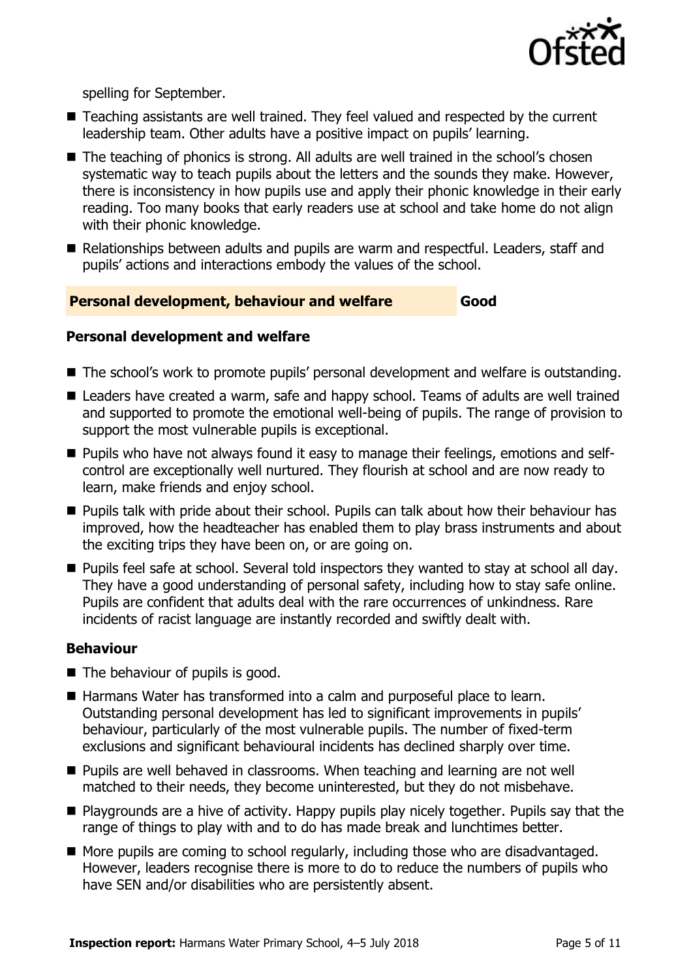

spelling for September.

- Teaching assistants are well trained. They feel valued and respected by the current leadership team. Other adults have a positive impact on pupils' learning.
- The teaching of phonics is strong. All adults are well trained in the school's chosen systematic way to teach pupils about the letters and the sounds they make. However, there is inconsistency in how pupils use and apply their phonic knowledge in their early reading. Too many books that early readers use at school and take home do not align with their phonic knowledge.
- Relationships between adults and pupils are warm and respectful. Leaders, staff and pupils' actions and interactions embody the values of the school.

### **Personal development, behaviour and welfare Good**

### **Personal development and welfare**

- The school's work to promote pupils' personal development and welfare is outstanding.
- Leaders have created a warm, safe and happy school. Teams of adults are well trained and supported to promote the emotional well-being of pupils. The range of provision to support the most vulnerable pupils is exceptional.
- **Pupils who have not always found it easy to manage their feelings, emotions and self**control are exceptionally well nurtured. They flourish at school and are now ready to learn, make friends and enjoy school.
- **Pupils talk with pride about their school. Pupils can talk about how their behaviour has** improved, how the headteacher has enabled them to play brass instruments and about the exciting trips they have been on, or are going on.
- Pupils feel safe at school. Several told inspectors they wanted to stay at school all day. They have a good understanding of personal safety, including how to stay safe online. Pupils are confident that adults deal with the rare occurrences of unkindness. Rare incidents of racist language are instantly recorded and swiftly dealt with.

#### **Behaviour**

- The behaviour of pupils is good.
- Harmans Water has transformed into a calm and purposeful place to learn. Outstanding personal development has led to significant improvements in pupils' behaviour, particularly of the most vulnerable pupils. The number of fixed-term exclusions and significant behavioural incidents has declined sharply over time.
- **Pupils are well behaved in classrooms. When teaching and learning are not well** matched to their needs, they become uninterested, but they do not misbehave.
- **Playgrounds are a hive of activity. Happy pupils play nicely together. Pupils say that the** range of things to play with and to do has made break and lunchtimes better.
- More pupils are coming to school regularly, including those who are disadvantaged. However, leaders recognise there is more to do to reduce the numbers of pupils who have SEN and/or disabilities who are persistently absent.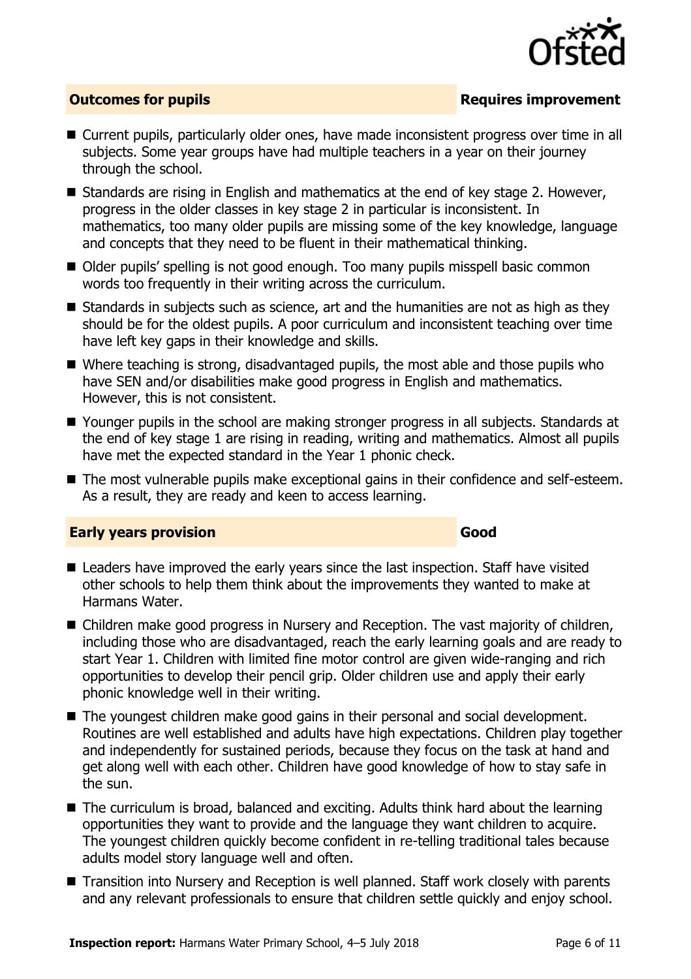

### **Outcomes for pupils Requires improvement**

- Current pupils, particularly older ones, have made inconsistent progress over time in all subjects. Some year groups have had multiple teachers in a year on their journey through the school.
- Standards are rising in English and mathematics at the end of key stage 2. However, progress in the older classes in key stage 2 in particular is inconsistent. In mathematics, too many older pupils are missing some of the key knowledge, language and concepts that they need to be fluent in their mathematical thinking.
- Older pupils' spelling is not good enough. Too many pupils misspell basic common words too frequently in their writing across the curriculum.
- $\blacksquare$  Standards in subjects such as science, art and the humanities are not as high as they should be for the oldest pupils. A poor curriculum and inconsistent teaching over time have left key gaps in their knowledge and skills.
- Where teaching is strong, disadvantaged pupils, the most able and those pupils who have SEN and/or disabilities make good progress in English and mathematics. However, this is not consistent.
- Younger pupils in the school are making stronger progress in all subjects. Standards at the end of key stage 1 are rising in reading, writing and mathematics. Almost all pupils have met the expected standard in the Year 1 phonic check.
- The most vulnerable pupils make exceptional gains in their confidence and self-esteem. As a result, they are ready and keen to access learning.

#### **Early years provision Good Good**

- Leaders have improved the early years since the last inspection. Staff have visited other schools to help them think about the improvements they wanted to make at Harmans Water.
- Children make good progress in Nursery and Reception. The vast majority of children, including those who are disadvantaged, reach the early learning goals and are ready to start Year 1. Children with limited fine motor control are given wide-ranging and rich opportunities to develop their pencil grip. Older children use and apply their early phonic knowledge well in their writing.
- The youngest children make good gains in their personal and social development. Routines are well established and adults have high expectations. Children play together and independently for sustained periods, because they focus on the task at hand and get along well with each other. Children have good knowledge of how to stay safe in the sun.
- The curriculum is broad, balanced and exciting. Adults think hard about the learning opportunities they want to provide and the language they want children to acquire. The youngest children quickly become confident in re-telling traditional tales because adults model story language well and often.
- Transition into Nursery and Reception is well planned. Staff work closely with parents and any relevant professionals to ensure that children settle quickly and enjoy school.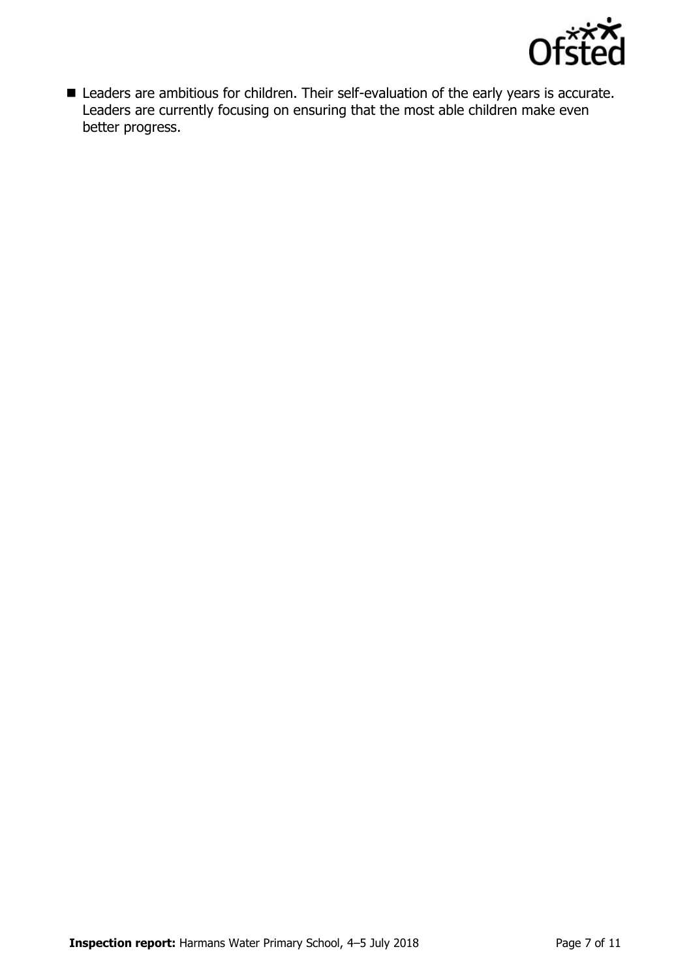

■ Leaders are ambitious for children. Their self-evaluation of the early years is accurate. Leaders are currently focusing on ensuring that the most able children make even better progress.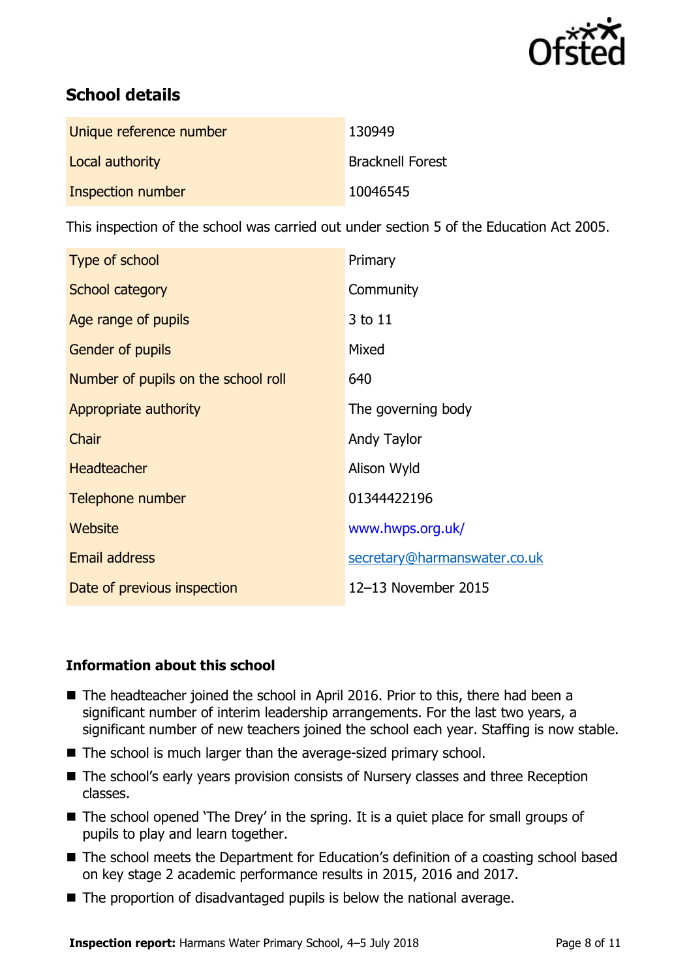

# **School details**

| Unique reference number | 130949                  |
|-------------------------|-------------------------|
| Local authority         | <b>Bracknell Forest</b> |
| Inspection number       | 10046545                |

This inspection of the school was carried out under section 5 of the Education Act 2005.

| Type of school                      | Primary                      |
|-------------------------------------|------------------------------|
| School category                     | Community                    |
| Age range of pupils                 | 3 to 11                      |
| <b>Gender of pupils</b>             | Mixed                        |
| Number of pupils on the school roll | 640                          |
| Appropriate authority               | The governing body           |
| Chair                               | Andy Taylor                  |
| <b>Headteacher</b>                  | Alison Wyld                  |
| Telephone number                    | 01344422196                  |
| Website                             | www.hwps.org.uk/             |
| <b>Email address</b>                | secretary@harmanswater.co.uk |
| Date of previous inspection         | 12-13 November 2015          |

### **Information about this school**

- The headteacher joined the school in April 2016. Prior to this, there had been a significant number of interim leadership arrangements. For the last two years, a significant number of new teachers joined the school each year. Staffing is now stable.
- The school is much larger than the average-sized primary school.
- The school's early years provision consists of Nursery classes and three Reception classes.
- The school opened 'The Drey' in the spring. It is a quiet place for small groups of pupils to play and learn together.
- The school meets the Department for Education's definition of a coasting school based on key stage 2 academic performance results in 2015, 2016 and 2017.
- The proportion of disadvantaged pupils is below the national average.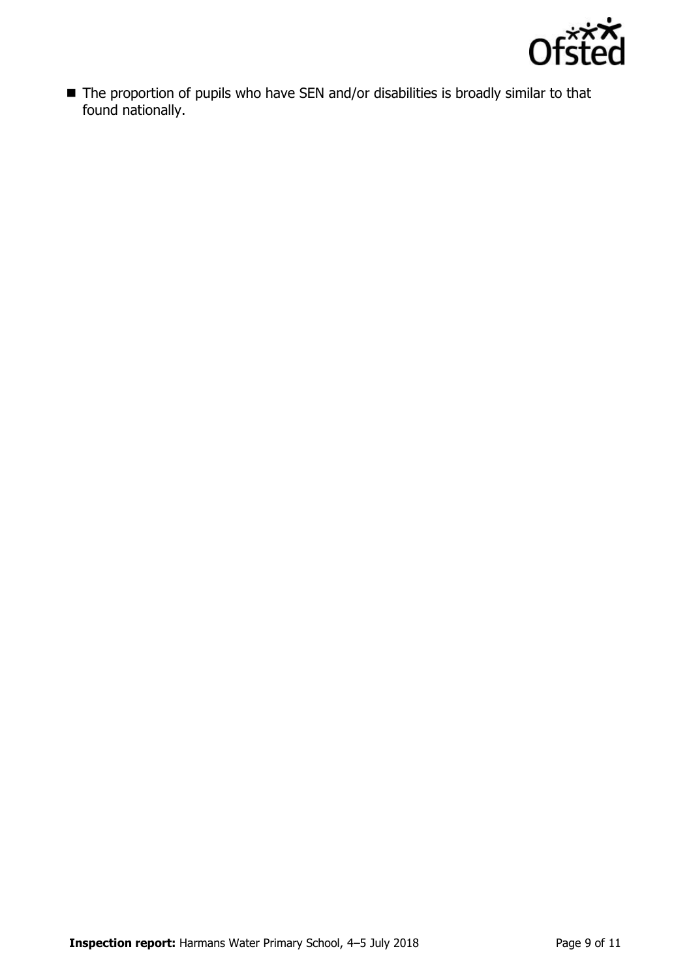

■ The proportion of pupils who have SEN and/or disabilities is broadly similar to that found nationally.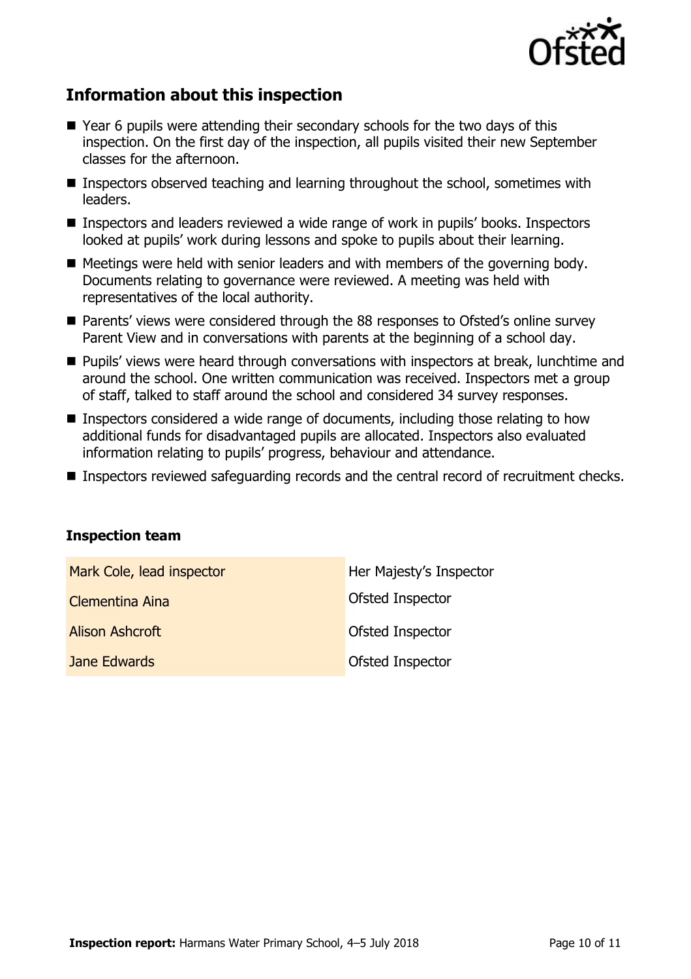

# **Information about this inspection**

- Year 6 pupils were attending their secondary schools for the two days of this inspection. On the first day of the inspection, all pupils visited their new September classes for the afternoon.
- **Inspectors observed teaching and learning throughout the school, sometimes with** leaders.
- Inspectors and leaders reviewed a wide range of work in pupils' books. Inspectors looked at pupils' work during lessons and spoke to pupils about their learning.
- $\blacksquare$  Meetings were held with senior leaders and with members of the governing body. Documents relating to governance were reviewed. A meeting was held with representatives of the local authority.
- Parents' views were considered through the 88 responses to Ofsted's online survey Parent View and in conversations with parents at the beginning of a school day.
- **Pupils'** views were heard through conversations with inspectors at break, lunchtime and around the school. One written communication was received. Inspectors met a group of staff, talked to staff around the school and considered 34 survey responses.
- **Inspectors considered a wide range of documents, including those relating to how** additional funds for disadvantaged pupils are allocated. Inspectors also evaluated information relating to pupils' progress, behaviour and attendance.
- Inspectors reviewed safeguarding records and the central record of recruitment checks.

#### **Inspection team**

| Mark Cole, lead inspector | Her Majesty's Inspector |
|---------------------------|-------------------------|
| Clementina Aina           | <b>Ofsted Inspector</b> |
| Alison Ashcroft           | <b>Ofsted Inspector</b> |
| Jane Edwards              | Ofsted Inspector        |